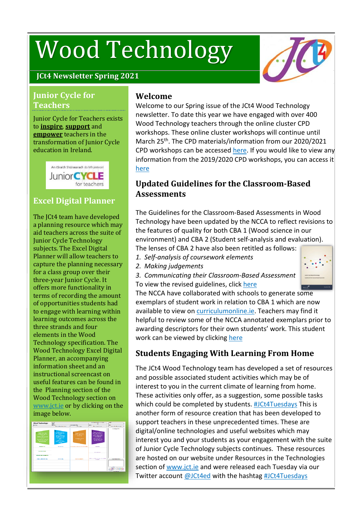# Wood Technology



## **JCt4 Newsletter Spring 2021**

#### **Junior Cycle for Teachers**

Junior Cycle for Teachers exists to **inspire**, **support** and **empower** teachers in the transformation of Junior Cycle education in Ireland.



## **Excel Digital Planner**

The JCt4 team have developed a planning resource which may aid teachers across the suite of Junior Cycle Technology subjects. The Excel Digital Planner will allow teachers to capture the planning necessary for a class group over their three-year Junior Cycle. It offers more functionality in terms of recording the amount of opportunities students had to engage with learning within learning outcomes across the three strands and four elements in the Wood Technology specification. The Wood Technology Excel Digital Planner, an accompanying information sheet and an instructional screencast on useful features can be found in the Planning section of the Wood Technology section on [www.jct.ie](https://jct.ie/home/home) or by clicking on the image [below.](https://www.jct.ie/technologies/planning_wood_technology#WoodTechnologyExcelDigitalPlanner)



## **Welcome**

Welcome to our Spring issue of the JCt4 Wood Technology newsletter. To date this year we have engaged with over 400 Wood Technology teachers through the online cluster CPD workshops. These online cluster workshops will continue until March 25<sup>th</sup>. The CPD materials/information from our 2020/2021 CPD workshops can be accessed [here.](https://www.jct.ie/technologies/cpd_supports_wood_technology_cpd_workshops_2020_2021) If you would like to view any information from the 2019/2020 CPD workshops, you can access it [here](https://www.jct.ie/technologies/cpd_supports_wood_technology_cpd_workshops_2019_2020)

## **Updated Guidelines for the Classroom-Based Assessments**

The Guidelines for the Classroom-Based Assessments in Wood Technology have been updated by the NCCA to reflect revisions to the features of quality for both CBA 1 (Wood science in our environment) and CBA 2 (Student self-analysis and evaluation).

The lenses of CBA 2 have also been retitled as follows:

- *1. Self-analysis of coursework elements*
- *2. Making judgements*
- *3. Communicating their Classroom-Based Assessment*  To view the revised guidelines, click [here](https://www.curriculumonline.ie/Junior-cycle/Junior-Cycle-Subjects/Wood-Technology/)



The NCCA have collaborated with schools to generate [some](https://www.curriculumonline.ie/Junior-cycle/Junior-Cycle-Subjects/Wood-Technology/) exemplars of student work in relation to CBA 1 which are now available to view on [curriculumonline.ie.](https://www.curriculumonline.ie/Home/) Teachers may find it helpful to review some of the NCCA annotated exemplars prior to awarding descriptors for their own students' work. This student work can be viewed by clicking [here](https://www.curriculumonline.ie/Junior-cycle/Junior-Cycle-Subjects/Wood-Technology/)

## **Students Engaging With Learning From Home**

The JCt4 Wood Technology team has developed a set of resources and possible associated student activities which may be of interest to you in the current climate of learning from home. These activities only offer, as a suggestion, some possible tasks which could be completed by students. [#JCt4Tuesdays](https://twitter.com/hashtag/JCt4Tuesdays?src=hashtag_click) This is another form of resource creation that has been developed to support teachers in these unprecedented times. These are digital/online technologies and useful websites which may interest you and your students as your engagement with the suite of Junior Cycle Technology subjects continues. These resources are hosted on our website under Resources in the Technologies section of [www.jct.ie](https://jct.ie/home/home) and were released each Tuesday via our Twitter account [@JCt4ed](https://twitter.com/JCt4ed) with the hashtag [#JCt4Tuesdays](https://twitter.com/hashtag/JCt4Tuesdays?src=hashtag_click)